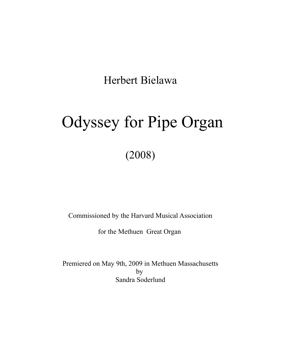Herbert Bielawa

## Odyssey for Pipe Organ

(2008)

Commissioned by the Harvard Musical Association

for the Methuen Great Organ

 Premiered on May 9th, 2009 in Methuen Massachusetts by Sandra Soderlund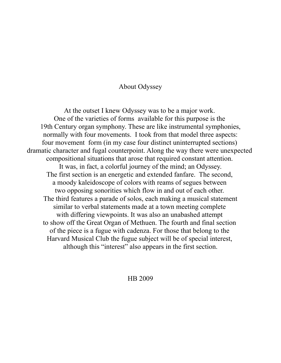## About Odyssey

At the outset I knew Odyssey was to be a major work. One of the varieties of forms available for this purpose is the 19th Century organ symphony. These are like instrumental symphonies, normally with four movements. I took from that model three aspects: four movement form (in my case four distinct uninterrupted sections) dramatic character and fugal counterpoint. Along the way there were unexpected compositional situations that arose that required constant attention. It was, in fact, a colorful journey of the mind; an Odyssey. The first section is an energetic and extended fanfare. The second, a moody kaleidoscope of colors with reams of segues between two opposing sonorities which flow in and out of each other. The third features a parade of solos, each making a musical statement similar to verbal statements made at a town meeting complete with differing viewpoints. It was also an unabashed attempt to show off the Great Organ of Methuen. The fourth and final section of the piece is a fugue with cadenza. For those that belong to the Harvard Musical Club the fugue subject will be of special interest, although this "interest" also appears in the first section.

HB 2009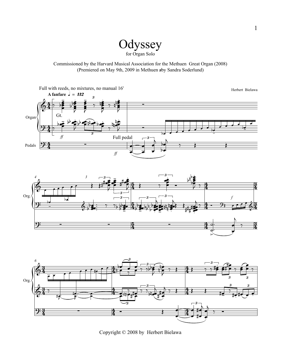

Commissioned by the Harvard Musical Association for the Methuen Great Organ (2008) (Premiered on May 9th, 2009 in Methuen sby Sandra Soderlund)







Copyright © 2008 by Herbert Bielawa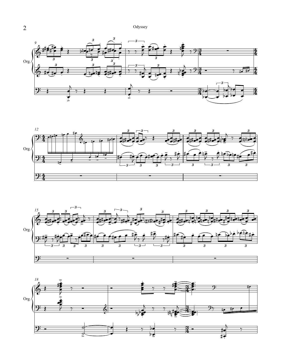





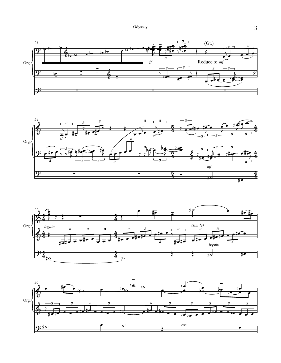





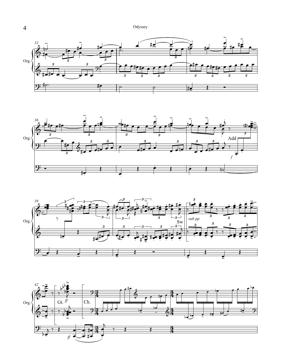





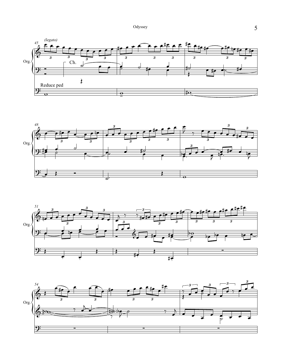





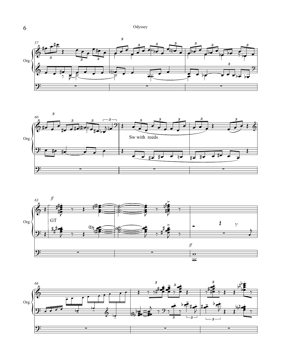







 $\overline{6}$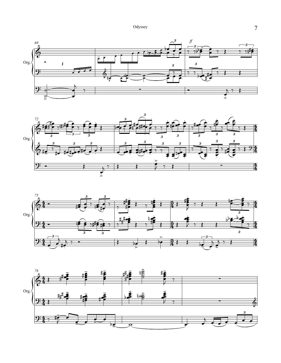





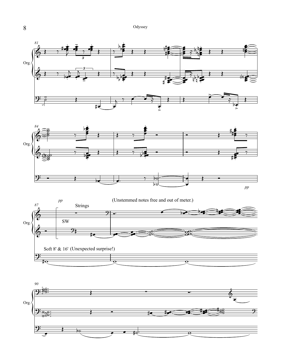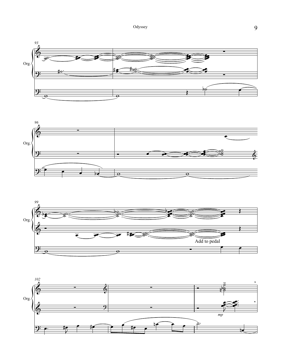



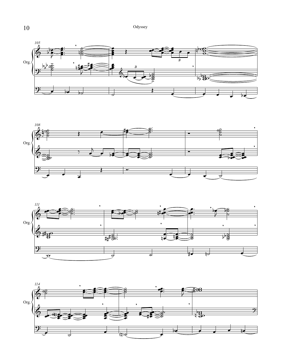







 $10\,$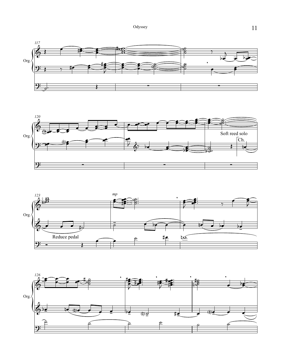





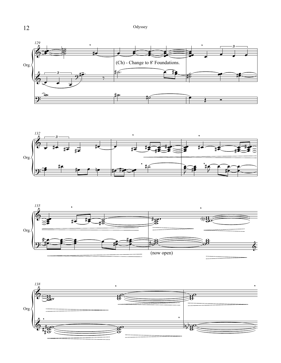





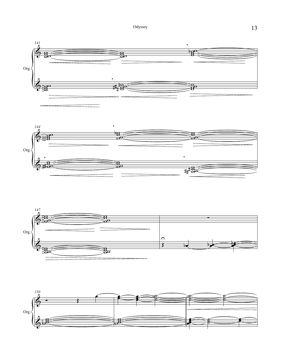





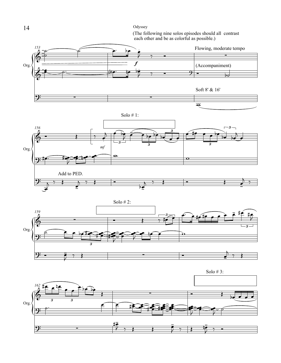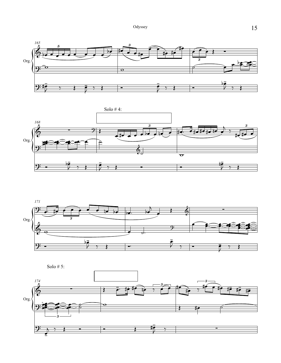





Solo #:

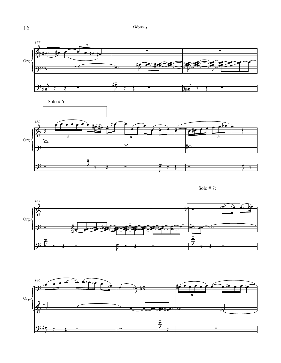

Solo #6:



Solo #7:  $183$ Ю Org. Ð

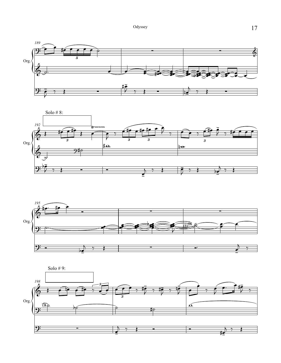





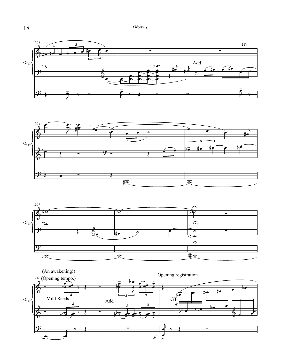





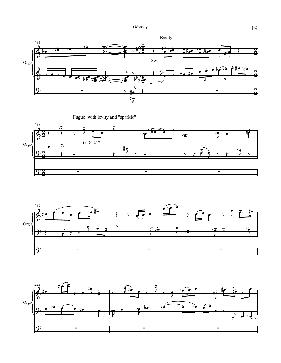







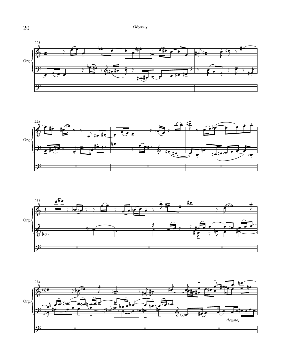





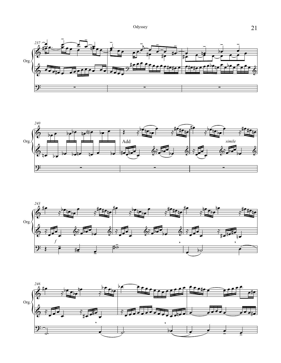





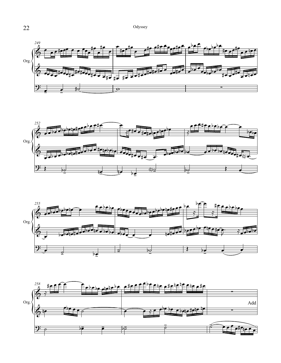





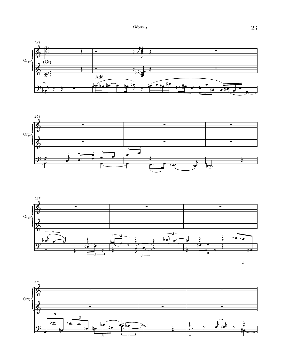





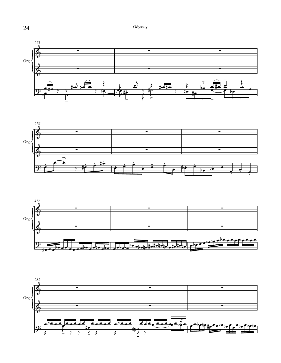





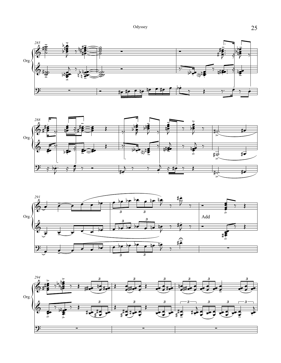